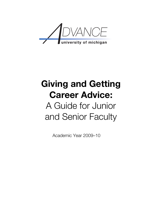

# **Giving and Getting Career Advice:** A Guide for Junior and Senior Faculty

Academic Year 2009–10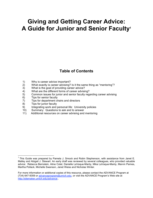## **Giving and Getting Career Advice: A Guide for Junior and Senior Faculty1**

### **Table of Contents**

- 1) Why is career advice important?
- 2) What exactly is career advising? Is it the same thing as "mentoring"?
- 3) What is the goal of providing career advice?
- 4) What are the different forms of career advising?
- 5) Common issues for junior and senior faculty regarding career advising
- 6) Tips for senior faculty
- 7) Tips for department chairs and directors
- 8) Tips for junior faculty
- 9) Integrating work and personal life: University policies
- 10) Summary: Questions to ask and to answer
- 11) Additional resources on career advising and mentoring

1 This Guide was prepared by Pamela J. Smock and Robin Stephenson, with assistance from Janet E. Malley and Abigail J. Stewart. An early draft was reviewed by several colleagues, who provided valuable advice: Rebecca Bernstein, Aline Cotel, Danielle LaVaque-Manty, Mika LaVaque-Manty, Marvin Parnes, Martha Pollack, Michelle Swanson, Janet Weiss and Nicholas Winter.

For more information or additional copies of this resource, please contact the ADVANCE Program at (734) 647-9359 or advanceprogram@umich.edu, or visit the ADVANCE Program's Web site at http://sitemaker.umich.edu/advance..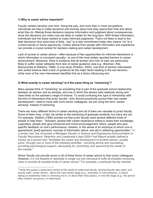#### **1) Why is career advice important?**

Faculty careers develop over time. Along the way, and more than in most occupations, individuals are free to make decisions and choices about how they spend their time and about what they do. Making those decisions requires information and judgment about consequences, since the decisions you make now are likely to matter for the long term. With limited information, individuals lack the basis needed to make informed judgments. That's not likely to lead to the best decisions! And since time is finite, "yes" to a new commitment today also means "no" to a current activity or future opportunity. Career advice from people with information and experience can provide a crucial context for decision-making and career development.

Lack of access to career advice—often because of few opportunities for informal interactions in which information is conveyed casually—is one of the most widely reported barriers to career advancement. Moreover, there is evidence that all women and men of color are particularly likely to suffer career setbacks from lack of career guidance (see e.g., Bowman, Kite, Branscombe & Williams, 1999). In one study (Preston, 2003), one third of women interviewed who exited science cited a lack of guidance as the major factor leading to the exit decision, while none of the men interviewed identified this as a factor influencing exit.

#### **2) What exactly is career advising? Is it the same thing as "mentoring"?**

Many people think of "mentoring" as something that is part of the graduate school relationship between an advisor and an advisee, and one in which the advisor sets relatively strong and clear limits on the advisee's range of choices. To avoid confusing this type of mentorship with the kind of interactions that junior faculty—who should proactively pursue their own career development—need to have with more senior colleagues, we are using the term "career advising" instead of mentoring.

There are many different forms of career advising and all of them are valuable to junior faculty. Some of them may, in fact, be similar to the mentoring of graduate students; but many are not. For example, Zelditch (1990) pointed out that junior faculty need several different kinds of people to help them: "Advisers, people with career experience willing to share their knowledge; supporters, people who give emotional and moral encouragement; tutors, people who give specific feedback on one's performance; masters, in the sense of an employer to whom one is apprenticed; [and] sponsors, sources of information about, and aid in obtaining opportunities." In a similar vein, the *University of Michigan Gender in Science and Engineering Subcommittee on Faculty Recruitment, Retention and Leadership*'s April 2004 Final Report broadly defined a mentor as a person who "facilitates the career and development of another person, usually junior, through one or more of the following activities: providing advice and counseling; providing psychological support; advocating for, promoting, and sponsoring the career of the mentee."

Senior faculty can provide some or all of these forms of career advice to their junior colleagues. However, it is not feasible or desirable to single out one individual to fulfill all possible mentoring roles or provide all possible kinds of career advice.<sup>2</sup> For example, a particular faculty member

<sup>&</sup>lt;sup>2</sup> While this guide is particularly aimed at the needs of untenured faculty, tenured faculty also need, and should seek, career advice—about the next career stage (e.g., promotion to full professor), or about taking on leadership roles or choosing not to, or about their next project, or next life stage (e.g., the period after children are grown, or retirement).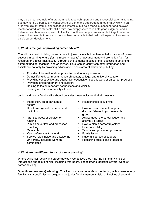may be a great example of a programmatic research approach and successful external funding, but may not be a particularly constructive citizen of the department; another may work in an area very distant from junior colleagues' interests, but be a marvelous teacher and beloved mentor of graduate students; still a third may simply seem to radiate good judgment and a balanced and humane approach to life. Each of these people has valuable things to offer to junior colleagues, but no one of them is likely to be able to help with all aspects of someone else's career development.

#### **3) What is the goal of providing career advice?**

The ultimate goal of giving career advice to junior faculty is to enhance their chances of career success in earning tenure (for instructional faculty) or advancement and promotion (i.e., for research or clinical track faculty) through achievements in scholarship, success in obtaining external funding, teaching, and/or service. Thus, senior faculty can offer information and assistance not only by providing advice about one's area of scholarship, but by:

- Providing information about promotion and tenure processes
- Demystifying departmental, research center, college, and university culture
- Providing constructive and supportive feedback on specific work or on career progress
- Providing encouragement and support
- Helping to foster important connections and visibility
- Looking out for junior faculty interests

Junior and senior faculty alike should consider these topics for their discussions:

- Inside story on departmental culture
- How to navigate department and institution
- Grant sources; strategies for funding
- Publishing outlets and processes<br>• Teaching
- 
- 
- Key conferences to attend
- Service roles inside and outside the University, including work on committees
- Relationships to cultivate
- How to recruit students or postdoctoral fellows to your research group
- Advice about the career ladder and
- alternative tracks<br>• How to plan a career trajectory
- 
- Teaching External visibility • Tenure and promotion processes<br>• Family issues
	-
	- National sources of support
		- Publishing outlets and processes

#### **4) What are the different forms of career advising?**

Where will junior faculty find career advice? We believe they may find it in many kinds of interactions and relationships, including with peers. The following identifies several types of career advising:

**Specific (one-on-one) advising**: This kind of advice depends on conferring with someone very familiar with specific issues unique to the junior faculty member's field, or involves direct and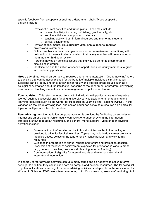specific feedback from a supervisor such as a department chair. Types of specific advising include:

- Review of current activities and future plans. These may include:
	- o research activity, including publishing, grant activity, etc.
		- o service activity, on campus and nationally
	- o teaching activity, both in formal courses and mentoring students
	- o clinical assignments
- Review of documents, like curriculum vitae, annual reports, required professional statements
- Critical feedback in the crucial years prior to tenure reviews or promotions, with delineation of the exact criteria by which that faculty member will be evaluated at the annual or third year review
- Personal advice on sensitive issues that individuals do not feel comfortable discussing in groups
- Identification and facilitation of specific opportunities for faculty members to grow into leadership positions

**Group advising**: Not all career advice requires one-on-one interaction. "Group advising" refers to advising that can be accomplished for the benefit of multiple individuals simultaneously. Sessions can be led by one or by a few senior faculty and address broad issues such as a collegial conversation about the intellectual concerns of the department or program, developing new courses, teaching evaluations, time management, or policies on tenure.

**Zone advising:** This refers to interactions with individuals with particular areas of expertise (zones) such as successful grant funding, university service assignments, or teaching and learning resources such as the Center for Research on Learning and Teaching (CRLT). In this variation on the group advising idea, one senior leader can serve as a resource on a particular topic for multiple junior faculty members.

**Peer advising:** Another variation on group advising is provided by facilitating career-relevant interactions among peers. Junior faculty can assist one another by sharing information, strategies, knowledge about resources, and general moral support. Types of peer advising activities include:

- Dissemination of information on institutional policies similar to the packages provided to all junior faculty/new hires. Topics may include dual career programs, modified duties, delays of the tenure review, leave policies, and work-family resources.
- Guidance in preparation of annual reports and tenure and promotion dossiers.
- Discussion of the level of achievement expected for promotion in various areas (e.g., research, teaching, success at obtaining external funding).
- Communication of eligibility for internal awards and external national and international recognition.

In general, career advising activities can take many forms and do not have to occur in formal settings. In addition, they can include both on-campus and national resources. The following list of potential locations or settings for career advising activities is adapted from the Association for Women in Science (AWIS) website on mentoring: http://www.awis.org/resource/mentoring.html.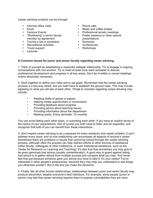Career advising contacts can be through:

- Informal office visits Phone calls
- 
- 
- "Shadowing" a senior faculty member by agreement
- Touring a lab or workplace
- Recreational activities Conference<br>• Travel support Workshops
- Travel support
- Lectures
- 
- Email Meals and coffee breaks<br>• Campus Events Professional society mee
	- Professional society meetings
	- Poster sessions or other special
	-
	- presentations<br>• Symposia<br>• Conferences
		-

#### **5) Common issues for junior and senior faculty regarding career advising**

1. Think of yourself as establishing a respectful collegial relationship. Try to engage in ongoing conversations with one another. Try to meet at least once each semester to discuss professional development and progress in all key areas. Don't be invisible or cancel meetings unless absolutely necessary.

2. Work together to define your roles and to set goals. Remember that the career advising process is a two-way street, and you both have to establish the ground rules. This may include agreeing on what you will ask of each other. Things to consider regarding career advising may include:

- Reading drafts of grants or papers
- Helping create opportunities or connections
- Providing feedback about progress
- Providing advice about teaching issues
- Providing information about the department
- Meeting yearly. Every semester. Or monthly

You can avoid letting each other down, or surprising each other, if you have an explicit sense of the nature of your expectations. And of course you both need to listen and be respectful, and recognize that both of you can benefit from these interactions.

3. Don't expect career advising to be a panacea for every academic and career problem; it can't address every issue, and no one relationship can encompass all aspects of anyone's career. Sometimes there are problems or issues that cannot be solved through the career advising process, although often the process can help redirect efforts to other sources of assistance (other faculty, colleagues at other institutions, or even institutional assistance, such as the Center for Research on Learning and Teaching). It's also true that sometimes you may give or be given genuinely bad advice (usually unintentionally!). A good way to guard against *taking* bad advice is to gather advice from multiple sources and compare what you hear. And never feel that just because someone gave you advice you have to take it; it's your career! You're interested in other people's perspectives, because they may help you understand or see things you otherwise wouldn't. But in the end you make the decisions.

4. Finally, like all other human relationships, relationships between junior and senior faculty may produce discomfort, despite everyone's best intentions. For example, some people (junior or senior) may feel that career advising requires them to expose vulnerabilities they are more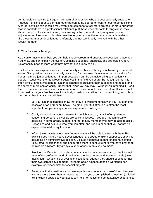comfortable concealing (a frequent concern of academics, who are occupationally subject to "impostor" anxieties) or to permit another person some degree of "control" over their decisions. A career advising relationship may even lead someone to feel more grateful, or more nurturant, than is comfortable in a professional relationship. If these uncomfortable feelings arise, they should not provoke alarm; instead, they are signs that the relationship may need some adjustment or fine-tuning. It is often possible to gain perspective on uncomfortable feelings like these from another colleague, preferably one not too directly involved with the other faculty member.

#### **6) Tips for senior faculty**

As a senior faculty member, you can help shape careers and encourage successful outcomes. You know and can explain the system, pointing out pitfalls, shortcuts, and strategies. Often, junior faculty need to learn what they may not even know to ask.

Think of your own experiences as a junior faculty member and how you achieved your current status. Giving valued advice is usually rewarding for the senior faculty member, as well as for her or his more junior colleague—in part because it can be an invigorating connection with people in touch with the most recent advances in the field you share. But recognize that it is often difficult and intimidating for junior colleagues to articulate their questions and needs, and to approach more senior faculty. Recall that things you say may—without you intending it—lead them to feel more anxious, more inadequate, or hopeless about their own future. It's important to contextualize your feedback so it is actually constructive rather than undermining, and offers direction rather than simply criticism.

- 1. Let your junior colleagues know that they are welcome to talk with you—just on one occasion or on a frequent basis. The gift of your full attention is often the most important one you can give a less experienced colleague.
- 2. Clarify expectations about the extent to which you can, or will, offer guidance concerning personal as well as professional issues. If you are not comfortable assisting in some areas, suggest another faculty member who may be able to assist. Recognize and evaluate what you can offer, and keep in mind that you cannot be expected to fulfill every function.
- 3. Inform junior faculty about how frequently you will be able to meet with them. Be explicit if you have a heavy travel schedule, are about to take a sabbatical, or will be assuming an administrative position. Discuss alternative means of communication (e.g., email or telephone) and encourage them to consult others who have proven to be reliable advisors. Try always to keep appointments you do make.
- 4. Provide specific information about as many topics as you can, such as the informal rules of the profession and of navigating the department and institution. Help junior faculty learn what kinds of available institutional support they should seek to further their own career development. Tell them about funds to attend a workshop, for example, or release time for special projects.
- 5. Recognize that sometimes your own experience is relevant and useful to colleagues who are more junior; hearing accounts of how you accomplished something (or failed to), including obstacles you faced, can help normalize and contextualize experiences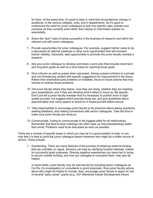for them. At the same time, it's good to bear in mind that circumstances change in academia, in the various colleges, units, and in departments. So it's good to underscore the need for junior colleagues to look into specific rules, policies and practices as they currently exist rather than relying on information passed on anecdotally.

- 6. Share the "tacit" rules of being successful in the business of research and within the relevant unit with junior colleagues.
- 7. Provide opportunities for junior colleagues. For example, suggest his/her name to be a discussant at national meetings or other such opportunities that will increase his/her visibility. Generally, take opportunities to promote the junior faculty member's research.
- 8. Ask your junior colleague to develop and share a work plan that includes short-term and long-term goals as well as a time frame for reaching those goals.
- 9. Give criticism as well as praise when warranted. Always present criticism in a private and non-threatening context with specific suggestions for improvement in the future. Rather than emphasize past problems or mistakes, focus on future actions that may remedy or redress those problems.
- 10. Tell junior faculty where they stand—how they are doing, whether they are meeting your expectations, and if they are showing what it takes to move up. Be specific. Don't just tell a junior faculty member that it's necessary to publish more in highquality journals, but suggest which journals those are, and give guidelines about approximately how many papers to shoot for in those journals before tenure.
- 11. Take responsibility to encourage junior faculty to be proactive about asking questions, seeking feedback, and making connections with senior colleagues. Take the time to make sure junior faculty are doing so.
- 12. Communicate. Failing to communicate is the biggest pitfall for all relationships. Remember that face-to-face meetings can often clear up misunderstandings better than email. Problems need to be discussed as soon as possible.

There are a number of specific areas in which you may be in a good position to help, or you may feel it is best to point the junior colleague toward someone who might be a better source of advice. These include:

1. Grantwriting. There are many features of the process of obtaining external funding that are unwritten or vague. Advisors can help by clarifying funders'/referees' criteria for successful grant proposals. Sharing negative experiences you have had in trying to secure outside funding, and how you managed or overcame them, may also be helpful.

In some fields, junior faculty may be well-served by including senior colleagues as Co-PIs, Co-investigators or consultants in grant proposals. Give junior faculty advice about who might be helpful to include. Also, encourage junior faculty to apply for one of several "early career" grants (e.g., K01-Mentored Career Development Award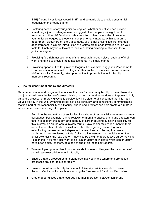[NIH]; Young Investigator Award [NSF]) and be available to provide substantial feedback on their early efforts.

- 2. Fostering networks for your junior colleagues. Whether or not you can provide something a junior colleague needs, suggest other people who might be of assistance: other UM faculty or colleagues from other universities. Introduce your junior colleagues to those with complementary interests within your unit or department, elsewhere on the UM campus, or at other universities. For example, at conferences, a simple introduction at a coffee break or an invitation to join your table for lunch may be sufficient to initiate a lasting advising relationship for a junior colleague.
- 3. Providing forthright assessments of their research through close readings of their work and trying to provide these assessments in a timely manner.
- 4. Providing opportunities for junior colleagues. For example, suggest his/her name to be a discussant at national meetings or other such opportunities that will increase his/her visibility. Generally, take opportunities to promote the junior faculty member's research.

#### **7) Tips for department chairs and directors**

Department chairs and program directors set the tone for how many faculty in the unit—senior and junior—will view the issue of career advising. If the chair or director does not appear to truly value the practice, or merely gives it lip service, it will be clear to all concerned that it is not a valued activity in the unit. By taking career advising seriously, and consistently communicating that it is part of the responsibility of all faculty, chairs and directors can help create a climate in which better career advising takes place.

- 1. Build into the evaluations of senior faculty a share of responsibility for mentoring new colleagues. For example, during reviews for merit increases, chairs and directors can take into account the quality and quantity of career advising by asking explicitly for this information on the annual review forms. Have senior faculty document in their annual report their efforts to assist junior faculty in getting research grants, establishing themselves as independent researchers, and having their work published in peer-reviewed outlets. Collaborative research—especially when the junior scientist is the lead author—may also be a sign of a productive career advising relationship. You may also want to ask junior faculty to indicate which senior faculty have been helpful to them, as a sort of check on these self-reports.
- 2. Take multiple opportunities to communicate to senior colleagues the importance of providing career advice to junior faculty.
- 3. Ensure that the procedures and standards involved in the tenure and promotion processes are clear to junior faculty.
- 4. Ensure that all junior faculty know about University policies intended to ease the work-family conflict such as stopping the "tenure clock" and modified duties.
- 5. Create opportunities that encourage informal interaction between junior and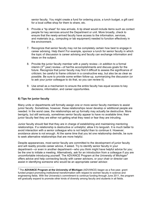senior faculty. You might create a fund for ordering pizza, a lunch budget, a gift card for a local coffee shop for them to share, etc.

- 6. Provide a "tip sheet" for new arrivals. A tip sheet would include items such as contact people for key services around the Department or unit. More broadly, check to ensure that the newly-arrived faculty have access to the information, services, and materials (e.g., computing or lab equipment) needed to function effectively in the environment.
- 7. Recognize that senior faculty may not be completely certain how best to engage in career advising. Help them! For example, sponsor a lunch for senior faculty in which the topic of discussion is career advising and faculty can exchange information and ideas on the subject.
- 8. Provide the junior faculty member with a yearly review—in addition to a formal interim ( $3<sup>rd</sup>$  year) review—of her/his accomplishments and discuss goals for the future. Recognize that junior faculty may find it difficult to assess the significance of criticism; be careful to frame criticism in a constructive way, but also be as clear as possible. Be sure to provide some written follow-up, summarizing the discussion (or to ask your junior colleague to do that, so you can review it).
- 9. Use email as a mechanism to ensure the entire faculty has equal access to key decisions, information, and career opportunities.

#### **8) Tips for junior faculty**

Many units or departments will formally assign one or more senior faculty members to assist junior faculty. Sometimes, however, these relationships never develop or additional people are needed. In the worst case, the relationships set up formally may actually be destructive. More benignly, but still seriously, sometimes senior faculty appear to have no available time; then junior faculty feel they are either not getting what they need or fear they are intruding.

Junior faculty should feel that they are in charge of establishing and maintaining mentoring relationships. If a relationship is destructive or unhelpful, allow it to languish. It is much better to avoid interaction with a senior colleague who is not helpful than to continue it. However, avoidance alone is not enough. At the same time that you let one relationship dwindle, be sure to seek alternative relationships that are more helpful.

Despite appearances, most senior faculty are committed to the development of junior faculty and will readily provide career advice, if asked. Try to identify senior faculty in your department—or even in another department—who you think might have helpful advice for you; be the one to initiate a meeting. Alternatively, ask for an introduction from a colleague if you are uncomfortable introducing yourself. The ADVANCE Program at the University of Michigan<sup>3</sup> offers advice and help connecting faculty with career advisors, or your chair or director can assist in identifying someone who would be an appropriate career advisor.

<sup>3</sup> The **ADVANCE Program at the University of Michigan** (ADVANCE) began as a five-year, grant funded project promoting institutional transformation with respect to women faculty in science and engineering fields. With the University's commitment to continue funding through June 2011, the program will gradually expand to promote other kinds of diversity among faculty and students in all fields.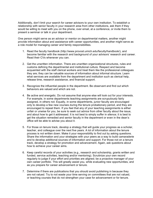Additionally, don't limit your search for career advisors to your own institution. To establish a relationship with senior faculty in your research area from other institutions, ask them if they would be willing to meet with you on the phone, over email, at a conference, or invite them to present a seminar or talk in your department.

One person might serve as an advisor or mentor on departmental matters, another might provide information about and assistance with career opportunities, and another might serve as a role model for managing career and family responsibilities.

- 1. Read the faculty handbook (http://www.provost.umich.edu/faculty/handbook/), and become familiar with the research and background of your advisors' research and career. Read their CVs whenever you can.
- 2. Get the unwritten information. There are unwritten organizational structures, rules and customs defining the departmental and institutional culture. Respect and become acquainted with the staff clerical workers and treat them like the professional colleagues they are; they can be valuable sources of information about informal structure. Learn what services are available from the department and institution such as clerical help, release time, research assistance, and financial support.
- 3. Recognize the influential people in the department. Be observant and find out which behaviors are valued and which are not.
- 4. Be active and energetic. Do not assume that anyone else will look out for your interests. For example, in some departments teaching assignments are scrupulously fairly assigned, in others not. Equally, in some departments, junior faculty are encouraged only to develop a few new courses during the tenure probationary period, and they are encouraged to repeat them. If you feel that any of your teaching assignments is either unfair or unwise for you, be sure to seek out advice from other faculty about the issue, and about how to get it addressed. It is not best to simply suffer in silence; it is best to get the situation remedied and senior faculty in the department or even in the dean's office will be able to advise you about it.
- 5. For those on tenure track, develop a strategy that will guide your progress as a scholar, teacher, and colleague over the next five years. A lot of information about the tenure process is not written down. Make it your responsibility to find out by asking questions. Share the information and your strategies with your peers as a way to build camaraderie and to develop additional sources of information and support. For those not on a tenure track, develop a strategy for promotion and advancement. Again, ask questions about how to achieve your career aims.
- 6. Keep careful records of your activities (e.g., research and scholarship, grants written and funded, service activities, teaching and/or mentoring). Scrutinize your own record regularly to judge if your effort and priorities are aligned; be a proactive manager of your own career portfolio. This will greatly assist you, while evaluating new opportunities, and as you prepare for career advancement or tenure.
- 7. Determine if there are publications that you should avoid publishing in because they are not valued. Try to not waste your time serving on committees that are not valued, or teaching courses that do not strengthen your case for advancement or for tenure.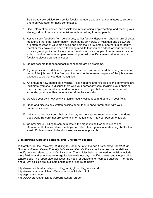Be sure to seek advice from senior faculty members about what committees to serve on, and then volunteer for those committees.

- 8. Seek information, advice, and assistance in developing, implementing, and revising your strategy; do not make major decisions without talking to other people.
- 9. Actively seek feedback from colleagues, senior faculty, department chair, or unit director. Recognize that other junior faculty—both at the University of Michigan and elsewhere are often sources of valuable advice and help too. For example, another junior faculty member may have developed a teaching module that you can adapt for your purposes; or, as a group, junior faculty in a department or across a couple of departments may be able to provide one another peer mentoring; or ask specific administrators or senior faculty to discuss particular issues.
- 10. Do not assume that no feedback means there are no problems.
- 11. If your position was defined in specific terms when you were hired, be sure you have a copy of the job description. You want to be sure there are no aspects of the job you are expected to do that you don't recognize.
- 12. An annual review should be in writing. If it is negative and you believe the comments are legitimate, you should discuss them with your career advisors, including your chair or director, and plan what you need to do to improve. If you believe a comment is not accurate, provide written materials to refute the evaluation.
- 13. Develop your own networks with junior faculty colleagues and others in your field.
- 14. Read and discuss any written policies about tenure and/or promotion with your career advisor(s).
- 15. Let your career advisors, chair or director, and colleagues know when you have done good work. Be sure that professional information is put into your personnel folder.
- 16. Communicate. Failing to communicate is the biggest pitfall for all relationships. Remember that face-to-face meetings can often clear up misunderstandings better than email. Problems need to be discussed as soon as possible.

#### **9) Integrating work and personal life: University policies**

In March 2004, the *University of Michigan Gender in Science and Engineering Report of the Subcommittee on Family Friendly Policies and Faculty Tracks* published recommendations to modify policies related to work-family issues. The policies being examined for revision include more flexible and extensive coverage for leave without pay, modified duties, and stopping the tenure clock. The report also discusses the need for additional on-campus daycare. The report and all UM policies are available online at the links listed below.

http://www.umich.edu/~advproj/GSE-\_Family\_Friendly\_Policies.pdf http://www.provost.umich.edu/faculty/handbook/index.html http://spg.umich.edu http://www.provost.umich.edu/programs/dual\_career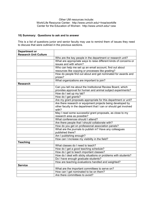#### Other UM resources include: Work/Life Resource Center: http://www.umich.edu/~hraa/worklife Center for the Education of Women: http://www.umich.edu/~cew

#### **10) Summary: Questions to ask and to answer**

This is a list of questions junior and senior faculty may use to remind them of issues they need to discuss that were outlined in the previous sections.

| <b>Department or</b>         |                                                                   |
|------------------------------|-------------------------------------------------------------------|
| <b>Research Unit Culture</b> |                                                                   |
|                              | Who are the key people in the department or research unit?        |
|                              | What are appropriate ways to raise different kinds of concerns or |
|                              | issues and with whom?                                             |
|                              | Who can help me set up an email account, find out about           |
|                              | resources like copying or processes like grading?                 |
|                              | How do people find out about and get nominated for awards and     |
|                              | prizes?                                                           |
|                              | What organizations are important to join?                         |
| <b>Research</b>              |                                                                   |
|                              | Can you tell me about the Institutional Review Board, which       |
|                              | provides approval for human and animal subject experiments?       |
|                              | How do I set up my lab?                                           |
|                              | How do I get grants?                                              |
|                              | Are my grant proposals appropriate for this department or unit?   |
|                              | Are there research or equipment projects being developed by       |
|                              | other faculty in the department that I can or should get involved |
|                              | with?                                                             |
|                              | May I read some successful grant proposals, as close to my        |
|                              | research area as possible?                                        |
|                              | What conferences should I attend?                                 |
|                              | Are there people that I should collaborate with?                  |
|                              | How do you get on professional association panels?                |
|                              | What are the journals to publish in? Have any colleagues          |
|                              | published there?                                                  |
|                              | Am I publishing enough?                                           |
|                              | How can I increase my visibility in the field?                    |
| <b>Teaching</b>              |                                                                   |
|                              | What classes do I need to teach?                                  |
|                              | How do I get a good teaching schedule?                            |
|                              | How do I get to teach important classes?                          |
|                              | How do I deal with sticky situations or problems with students?   |
|                              | Do I have enough graduate students?                               |
|                              | How are teaching evaluations handled and weighted?                |
| <b>Service</b>               |                                                                   |
|                              | What are the important committees to serve on?                    |
|                              | How can I get nominated to be on them?                            |
|                              | Are there committees to avoid?                                    |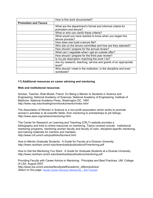|                             | How is this work documented?                                                   |
|-----------------------------|--------------------------------------------------------------------------------|
| <b>Promotion and Tenure</b> |                                                                                |
|                             | What are the department's formal and informal criteria for                     |
|                             | promotion and tenure?                                                          |
|                             | What or who can clarify these criteria?                                        |
|                             | What would you have wanted to know when you began the                          |
|                             | tenure process?                                                                |
|                             | How does one build a tenure file?                                              |
|                             | Who sits on the tenure committee and how are they selected?                    |
|                             | How should I prepare for the annual review?                                    |
|                             | What can I negotiate when I get an outside offer?                              |
|                             | How should I prepare for the third year review?                                |
|                             | Is my job description matching the work I do?                                  |
|                             | Are my research, teaching, service and grants of an appropriate                |
|                             | level?                                                                         |
|                             | Who should I meet in the institution, in the discipline and even<br>worldwide? |

#### **11) Additional resources on career advising and mentoring**

#### **Web and institutional resources**

Adviser, Teacher, Role Model, Friend: On Being a Mentor to Students in Science and Engineering, National Academy of Sciences, National Academy of Engineering, Institute of Medicine, National Academy Press, Washington DC, 1997. *http://www.nap.edu/readingroom/books/mentor/index.html*

The Association of Women in Science is a non-profit association which works to promote women's activities in all scientific fields, from mentoring to scholarships to job listings. *http://www.awis.org/careers/mentoring.html*

The Center for Research on Learning and Teaching (CRLT) website provides a bibliography and links to online resources on mentoring. Topics covered include: institutional mentoring programs, mentoring women faculty and faculty of color, discipline-specific mentoring, and training materials for mentors and mentees. *http://www.crlt.umich.edu/publinks/facment.html*

How to Mentor Graduate Students: A Guide for Faculty at a Diverse University. *http://www.rackham.umich.edu/downloads/publications/Fmentoring.pdf*

How to Get the Mentoring You Want: A Guide for Graduate Students at a Diverse University. *http://www.rackham.umich.edu/downloads/publications/mentoring.pdf*

Providing Faculty with Career Advice or Mentoring: Principles and Best Practices, UM, College of LSA, August 2007. *http://www.lsa.umich.edu/lsa/facultystaff/academic\_affairs/policies/ Select on this page:* Faculty Career Advising (Mentoring) - 8/07 Version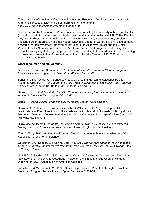The University of Michigan Office of the Provost and Executive Vice President for Academic Affairs has links to articles and other information on mentorship. *http://www.provost.umich.edu/mentoring/index.html*

The Center for the Education of Women offers free counseling to University of Michigan faculty (as well as to staff, students and residents of surrounding communities; call 998-7210). Faculty may wish to discuss career goals, job fit, negotiation strategies, work/life issues, problems affecting career progression or other needs. CEW also supports two professional development networks for faculty women: the Women of Color in the Academy Project and the Junior Women Faculty Network. In addition, CEW offers other kinds of programs addressing, for example, salary negotiation, grant proposal writing, parenting in the academy, financial planning, and research presentation. For more information contact the Center at 998-7080, or visit *www.umich.edu/~cew.*

#### **Other resources and bibliography**

Association of Women Surgeons (2001). *Pocket Mentor*, Association of Women Surgeons. *http://www.womensurgeons.org/aws\_library/PocketMentor.pdf*

Bensimon, E.M., Ward, K. & Sanders, K. (2000). Creating Mentoring Relationships and Fostering Collegiality. *The Department Chair's Role in Developing New Faculty Into Teachers and Scholars* (chapter 10)*.* Bolton, MA: Anker Publishing Co.

Bickel, J., Croft, K. & Marshall, R. (1996, October). *Enhancing the Environment for Women in Academic Medicine*. Washington, DC: AAMC.

Boice, R. (2000). *Advice for new faculty members*. Boston: Allyn & Bacon.

Bowman, S.R., Kite, M.E., Branscombe, N.R., & Williams, S. (1999). Developmental relationships of Black Americans in the academy. In A.J. Murrell, F.J. Crosby, & R. Ely (Eds.), *Mentoring dilemmas: Developmental relationships within multicultural organizations* (pp. 21-46). Mahway, NJ: Erlbaum.

Burroughs Wellcome Fund (2004). *Making the Right Moves: A Practical Guide to Scientific Management for Postdocs and New Faculty*. Howard Hughes Medical Institute.

Fort, D. (Ed.) (1993). *A Hand Up: Women Mentoring Women in Science*. Washington, DC: Association of Women in Science.

Goldsmith, J.A., Komlos, J. & Schine Gold, P. (2001). *The Chicago Guide to Your Academic Career: A Portable Mentor for Scholars from Graduate School through Tenure.* Chicago: Univ. of Chicago Press.

Hall, R.M. & Sandler, B.R. (1983). Academic Mentoring for Women Students and Faculty: A New Look at an Old Way to Get Ahead. Project on the Status and Education of Women. Washington, D.C.: Association of American Colleges.

Johnston, S & McCormack, C. (1997). Developing Research Potential Through a Structured Mentoring Program: Issues Arising. *Higher Education 3,* 251-64.